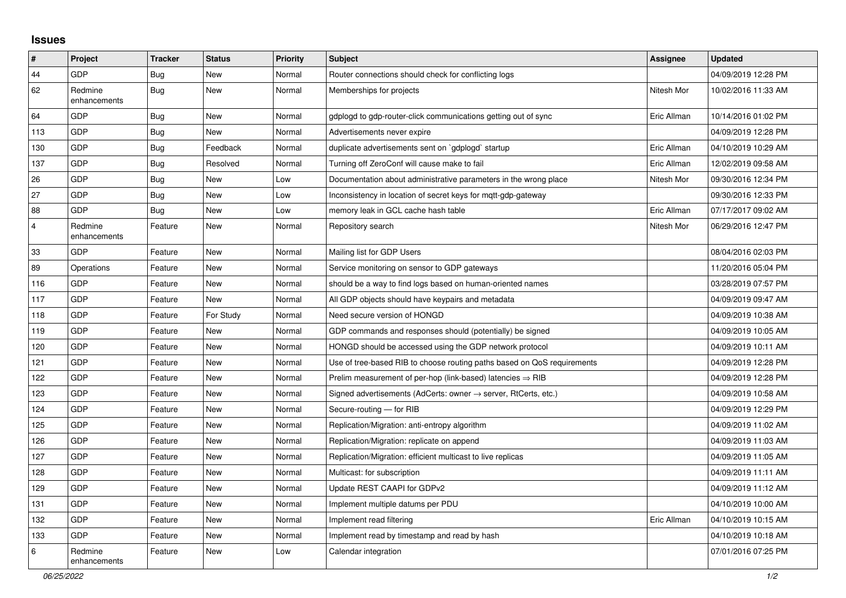## **Issues**

| $\vert$ #      | Project                 | <b>Tracker</b> | <b>Status</b> | <b>Priority</b> | <b>Subject</b>                                                             | Assignee    | <b>Updated</b>      |
|----------------|-------------------------|----------------|---------------|-----------------|----------------------------------------------------------------------------|-------------|---------------------|
| 44             | GDP                     | <b>Bug</b>     | <b>New</b>    | Normal          | Router connections should check for conflicting logs                       |             | 04/09/2019 12:28 PM |
| 62             | Redmine<br>enhancements | Bug            | New           | Normal          | Memberships for projects                                                   | Nitesh Mor  | 10/02/2016 11:33 AM |
| 64             | GDP                     | Bug            | <b>New</b>    | Normal          | gdplogd to gdp-router-click communications getting out of sync             | Eric Allman | 10/14/2016 01:02 PM |
| 113            | GDP                     | <b>Bug</b>     | <b>New</b>    | Normal          | Advertisements never expire                                                |             | 04/09/2019 12:28 PM |
| 130            | GDP                     | <b>Bug</b>     | Feedback      | Normal          | duplicate advertisements sent on `gdplogd` startup                         | Eric Allman | 04/10/2019 10:29 AM |
| 137            | GDP                     | Bug            | Resolved      | Normal          | Turning off ZeroConf will cause make to fail                               | Eric Allman | 12/02/2019 09:58 AM |
| 26             | GDP                     | Bug            | New           | Low             | Documentation about administrative parameters in the wrong place           | Nitesh Mor  | 09/30/2016 12:34 PM |
| 27             | GDP                     | <b>Bug</b>     | <b>New</b>    | Low             | Inconsistency in location of secret keys for mqtt-gdp-gateway              |             | 09/30/2016 12:33 PM |
| 88             | GDP                     | <b>Bug</b>     | <b>New</b>    | Low             | memory leak in GCL cache hash table                                        | Eric Allman | 07/17/2017 09:02 AM |
| $\overline{4}$ | Redmine<br>enhancements | Feature        | New           | Normal          | Repository search                                                          | Nitesh Mor  | 06/29/2016 12:47 PM |
| 33             | GDP                     | Feature        | <b>New</b>    | Normal          | Mailing list for GDP Users                                                 |             | 08/04/2016 02:03 PM |
| 89             | Operations              | Feature        | <b>New</b>    | Normal          | Service monitoring on sensor to GDP gateways                               |             | 11/20/2016 05:04 PM |
| 116            | GDP                     | Feature        | New           | Normal          | should be a way to find logs based on human-oriented names                 |             | 03/28/2019 07:57 PM |
| 117            | GDP                     | Feature        | New           | Normal          | All GDP objects should have keypairs and metadata                          |             | 04/09/2019 09:47 AM |
| 118            | GDP                     | Feature        | For Study     | Normal          | Need secure version of HONGD                                               |             | 04/09/2019 10:38 AM |
| 119            | GDP                     | Feature        | <b>New</b>    | Normal          | GDP commands and responses should (potentially) be signed                  |             | 04/09/2019 10:05 AM |
| 120            | GDP                     | Feature        | <b>New</b>    | Normal          | HONGD should be accessed using the GDP network protocol                    |             | 04/09/2019 10:11 AM |
| 121            | GDP                     | Feature        | New           | Normal          | Use of tree-based RIB to choose routing paths based on QoS requirements    |             | 04/09/2019 12:28 PM |
| 122            | GDP                     | Feature        | New           | Normal          | Prelim measurement of per-hop (link-based) latencies $\Rightarrow$ RIB     |             | 04/09/2019 12:28 PM |
| 123            | GDP                     | Feature        | <b>New</b>    | Normal          | Signed advertisements (AdCerts: owner $\rightarrow$ server, RtCerts, etc.) |             | 04/09/2019 10:58 AM |
| 124            | GDP                     | Feature        | New           | Normal          | Secure-routing - for RIB                                                   |             | 04/09/2019 12:29 PM |
| 125            | GDP                     | Feature        | New           | Normal          | Replication/Migration: anti-entropy algorithm                              |             | 04/09/2019 11:02 AM |
| 126            | GDP                     | Feature        | New           | Normal          | Replication/Migration: replicate on append                                 |             | 04/09/2019 11:03 AM |
| 127            | GDP                     | Feature        | New           | Normal          | Replication/Migration: efficient multicast to live replicas                |             | 04/09/2019 11:05 AM |
| 128            | GDP                     | Feature        | New           | Normal          | Multicast: for subscription                                                |             | 04/09/2019 11:11 AM |
| 129            | GDP                     | Feature        | <b>New</b>    | Normal          | Update REST CAAPI for GDPv2                                                |             | 04/09/2019 11:12 AM |
| 131            | GDP                     | Feature        | <b>New</b>    | Normal          | Implement multiple datums per PDU                                          |             | 04/10/2019 10:00 AM |
| 132            | GDP                     | Feature        | New           | Normal          | Implement read filtering                                                   | Eric Allman | 04/10/2019 10:15 AM |
| 133            | GDP                     | Feature        | New           | Normal          | Implement read by timestamp and read by hash                               |             | 04/10/2019 10:18 AM |
| 6              | Redmine<br>enhancements | Feature        | <b>New</b>    | Low             | Calendar integration                                                       |             | 07/01/2016 07:25 PM |